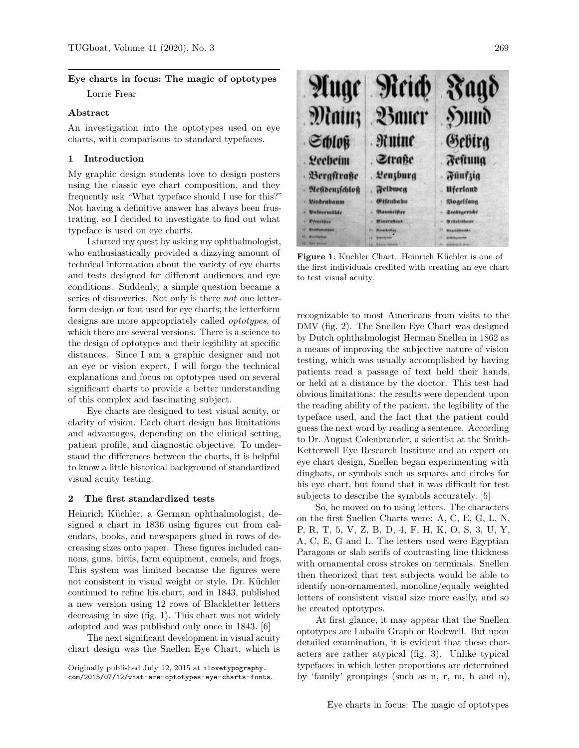# Eye charts in focus: The magic of optotypes

Lorrie Frear

### Abstract

An investigation into the optotypes used on eye charts, with comparisons to standard typefaces.

## 1 Introduction

My graphic design students love to design posters using the classic eye chart composition, and they frequently ask "What typeface should I use for this?" Not having a definitive answer has always been frustrating, so I decided to investigate to find out what typeface is used on eye charts.

I started my quest by asking my ophthalmologist, who enthusiastically provided a dizzying amount of technical information about the variety of eye charts and tests designed for different audiences and eye conditions. Suddenly, a simple question became a series of discoveries. Not only is there *not* one letterform design or font used for eye charts; the letterform designs are more appropriately called optotypes, of which there are several versions. There is a science to the design of optotypes and their legibility at specific distances. Since I am a graphic designer and not an eye or vision expert, I will forgo the technical explanations and focus on optotypes used on several significant charts to provide a better understanding of this complex and fascinating subject.

Eye charts are designed to test visual acuity, or clarity of vision. Each chart design has limitations and advantages, depending on the clinical setting, patient profile, and diagnostic objective. To understand the differences between the charts, it is helpful to know a little historical background of standardized visual acuity testing.

#### 2 The first standardized tests

Heinrich Küchler, a German ophthalmologist, designed a chart in 1836 using figures cut from calendars, books, and newspapers glued in rows of decreasing sizes onto paper. These figures included cannons, guns, birds, farm equipment, camels, and frogs. This system was limited because the figures were not consistent in visual weight or style. Dr. Küchler continued to refine his chart, and in 1843, published a new version using 12 rows of Blackletter letters decreasing in size (fig. [1\)](#page-0-0). This chart was not widely adopted and was published only once in 1843. [\[6\]](#page-5-0)

The next significant development in visual acuity chart design was the Snellen Eye Chart, which is



Figure 1: Kuchler Chart. Heinrich Küchler is one of the first individuals credited with creating an eye chart to test visual acuity.

<span id="page-0-0"></span>recognizable to most Americans from visits to the DMV (fig. [2\)](#page-1-0). The Snellen Eye Chart was designed by Dutch ophthalmologist Herman Snellen in 1862 as a means of improving the subjective nature of vision testing, which was usually accomplished by having patients read a passage of text held their hands, or held at a distance by the doctor. This test had obvious limitations: the results were dependent upon the reading ability of the patient, the legibility of the typeface used, and the fact that the patient could guess the next word by reading a sentence. According to Dr. August Colenbrander, a scientist at the Smith-Ketterwell Eye Research Institute and an expert on eye chart design, Snellen began experimenting with dingbats, or symbols such as squares and circles for his eye chart, but found that it was difficult for test subjects to describe the symbols accurately. [\[5\]](#page-5-1)

So, he moved on to using letters. The characters on the first Snellen Charts were: A, C, E, G, L, N, P, R, T, 5, V, Z, B, D, 4, F, H, K, O, S, 3, U, Y, A, C, E, G and L. The letters used were Egyptian Paragons or slab serifs of contrasting line thickness with ornamental cross strokes on terminals. Snellen then theorized that test subjects would be able to identify non-ornamented, monoline/equally weighted letters of consistent visual size more easily, and so he created optotypes.

At first glance, it may appear that the Snellen optotypes are Lubalin Graph or Rockwell. But upon detailed examination, it is evident that these characters are rather atypical (fig. [3\)](#page-1-1). Unlike typical typefaces in which letter proportions are determined by 'family' groupings (such as n, r, m, h and u),

Originally published July 12, 2015 at [ilovetypography.](https://ilovetypography.com/2015/07/12/what-are-optotypes-eye-charts-fonts) [com/2015/07/12/what-are-optotypes-eye-charts-fonts](https://ilovetypography.com/2015/07/12/what-are-optotypes-eye-charts-fonts).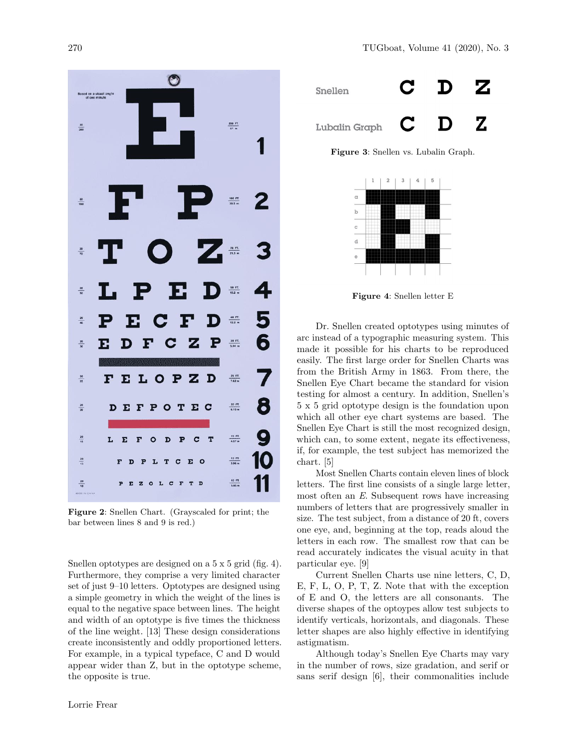

<span id="page-1-0"></span>Figure 2: Snellen Chart. (Grayscaled for print; the bar between lines 8 and 9 is red.)

Snellen optotypes are designed on a 5 x 5 grid (fig. [4\)](#page-1-2). Furthermore, they comprise a very limited character set of just 9–10 letters. Optotypes are designed using a simple geometry in which the weight of the lines is equal to the negative space between lines. The height and width of an optotype is five times the thickness of the line weight. [\[13\]](#page-5-2) These design considerations create inconsistently and oddly proportioned letters. For example, in a typical typeface, C and D would appear wider than Z, but in the optotype scheme, the opposite is true.



Figure 3: Snellen vs. Lubalin Graph.

<span id="page-1-1"></span>

<span id="page-1-2"></span>Figure 4: Snellen letter E

Dr. Snellen created optotypes using minutes of arc instead of a typographic measuring system. This made it possible for his charts to be reproduced easily. The first large order for Snellen Charts was from the British Army in 1863. From there, the Snellen Eye Chart became the standard for vision testing for almost a century. In addition, Snellen's 5 x 5 grid optotype design is the foundation upon which all other eye chart systems are based. The Snellen Eye Chart is still the most recognized design, which can, to some extent, negate its effectiveness, if, for example, the test subject has memorized the chart. [\[5\]](#page-5-1)

Most Snellen Charts contain eleven lines of block letters. The first line consists of a single large letter, most often an E. Subsequent rows have increasing numbers of letters that are progressively smaller in size. The test subject, from a distance of 20 ft, covers one eye, and, beginning at the top, reads aloud the letters in each row. The smallest row that can be read accurately indicates the visual acuity in that particular eye. [\[9\]](#page-5-3)

Current Snellen Charts use nine letters, C, D, E, F, L, O, P, T, Z. Note that with the exception of E and O, the letters are all consonants. The diverse shapes of the optoypes allow test subjects to identify verticals, horizontals, and diagonals. These letter shapes are also highly effective in identifying astigmatism.

Although today's Snellen Eye Charts may vary in the number of rows, size gradation, and serif or sans serif design [\[6\]](#page-5-0), their commonalities include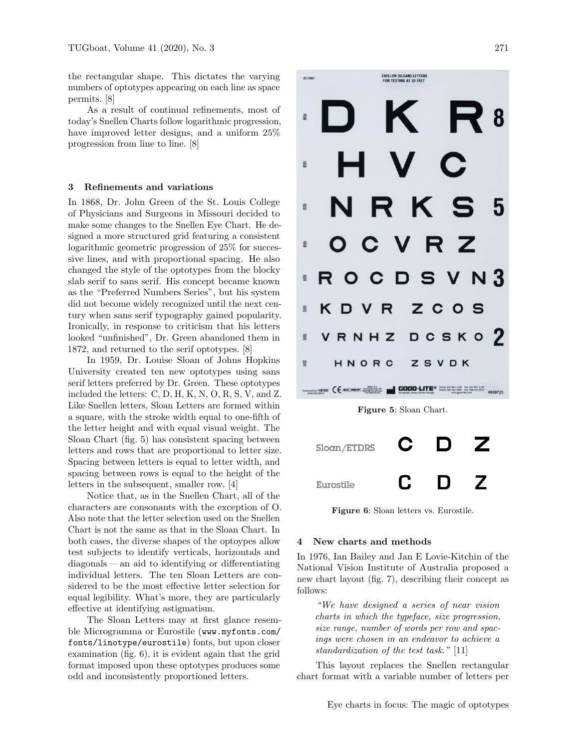the rectangular shape. This dictates the varying numbers of optotypes appearing on each line as space permits. [\[8\]](#page-5-4)

As a result of continual refinements, most of today's Snellen Charts follow logarithmic progression, have improved letter designs, and a uniform 25% progression from line to line. [\[8\]](#page-5-4)

#### 3 Refinements and variations

In 1868, Dr. John Green of the St. Louis College of Physicians and Surgeons in Missouri decided to make some changes to the Snellen Eye Chart. He designed a more structured grid featuring a consistent logarithmic geometric progression of 25% for successive lines, and with proportional spacing. He also changed the style of the optotypes from the blocky slab serif to sans serif. His concept became known as the "Preferred Numbers Series", but his system did not become widely recognized until the next century when sans serif typography gained popularity. Ironically, in response to criticism that his letters looked "unfinished", Dr. Green abandoned them in 1872, and returned to the serif optotypes. [\[8\]](#page-5-4)

In 1959, Dr. Louise Sloan of Johns Hopkins University created ten new optotypes using sans serif letters preferred by Dr. Green. These optotypes included the letters: C, D, H, K, N, O, R, S, V, and Z. Like Snellen letters, Sloan Letters are formed within a square, with the stroke width equal to one-fifth of the letter height and with equal visual weight. The Sloan Chart (fig. [5\)](#page-2-0) has consistent spacing between letters and rows that are proportional to letter size. Spacing between letters is equal to letter width, and spacing between rows is equal to the height of the letters in the subsequent, smaller row. [\[4\]](#page-5-5)

Notice that, as in the Snellen Chart, all of the characters are consonants with the exception of O. Also note that the letter selection used on the Snellen Chart is not the same as that in the Sloan Chart. In both cases, the diverse shapes of the optoypes allow test subjects to identify verticals, horizontals and diagonals— an aid to identifying or differentiating individual letters. The ten Sloan Letters are considered to be the most effective letter selection for equal legibility. What's more, they are particularly effective at identifying astigmatism.

The Sloan Letters may at first glance resemble Microgramma or Eurostile ([www.myfonts.com/](https://www.myfonts.com/fonts/linotype/eurostile) [fonts/linotype/eurostile](https://www.myfonts.com/fonts/linotype/eurostile)) fonts, but upon closer examination (fig. [6\)](#page-2-1), it is evident again that the grid format imposed upon these optotypes produces some odd and inconsistently proportioned letters.



<span id="page-2-1"></span><span id="page-2-0"></span>Figure 6: Sloan letters vs. Eurostile.

#### 4 New charts and methods

In 1976, Ian Bailey and Jan E Lovie-Kitchin of the National Vision Institute of Australia proposed a new chart layout (fig. [7\)](#page-3-0), describing their concept as follows:

"We have designed a series of near vision charts in which the typeface, size progression, size range, number of words per row and spacings were chosen in an endeavor to achieve a standardization of the test task." [\[11\]](#page-5-6)

This layout replaces the Snellen rectangular chart format with a variable number of letters per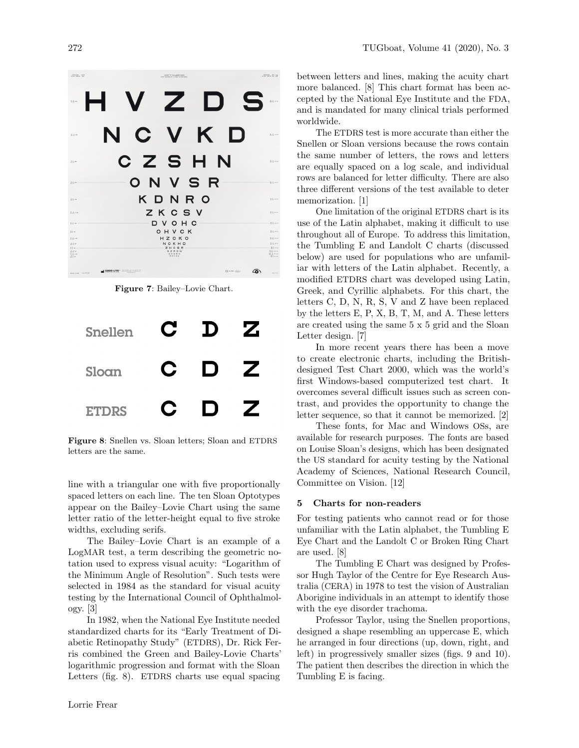

Figure 7: Bailey–Lovie Chart.

<span id="page-3-0"></span>

| <b>Snellen</b> | Ĉ | D   | Z |
|----------------|---|-----|---|
| Sloan          | C | IJ  | 7 |
| <b>ETDRS</b>   | U | l J |   |

<span id="page-3-1"></span>Figure 8: Snellen vs. Sloan letters; Sloan and ETDRS letters are the same.

line with a triangular one with five proportionally spaced letters on each line. The ten Sloan Optotypes appear on the Bailey–Lovie Chart using the same letter ratio of the letter-height equal to five stroke widths, excluding serifs.

The Bailey–Lovie Chart is an example of a LogMAR test, a term describing the geometric notation used to express visual acuity: "Logarithm of the Minimum Angle of Resolution". Such tests were selected in 1984 as the standard for visual acuity testing by the International Council of Ophthalmology. [\[3\]](#page-5-7)

In 1982, when the National Eye Institute needed standardized charts for its "Early Treatment of Diabetic Retinopathy Study" (ETDRS), Dr. Rick Ferris combined the Green and Bailey-Lovie Charts' logarithmic progression and format with the Sloan Letters (fig. [8\)](#page-3-1). ETDRS charts use equal spacing

between letters and lines, making the acuity chart more balanced. [\[8\]](#page-5-4) This chart format has been accepted by the National Eye Institute and the FDA, and is mandated for many clinical trials performed worldwide.

The ETDRS test is more accurate than either the Snellen or Sloan versions because the rows contain the same number of letters, the rows and letters are equally spaced on a log scale, and individual rows are balanced for letter difficulty. There are also three different versions of the test available to deter memorization. [\[1\]](#page-5-8)

One limitation of the original ETDRS chart is its use of the Latin alphabet, making it difficult to use throughout all of Europe. To address this limitation, the Tumbling E and Landolt C charts (discussed below) are used for populations who are unfamiliar with letters of the Latin alphabet. Recently, a modified ETDRS chart was developed using Latin, Greek, and Cyrillic alphabets. For this chart, the letters C, D, N, R, S, V and Z have been replaced by the letters E, P, X, B, T, M, and A. These letters are created using the same 5 x 5 grid and the Sloan Letter design. [\[7\]](#page-5-9)

In more recent years there has been a move to create electronic charts, including the Britishdesigned Test Chart 2000, which was the world's first Windows-based computerized test chart. It overcomes several difficult issues such as screen contrast, and provides the opportunity to change the letter sequence, so that it cannot be memorized. [\[2\]](#page-5-10)

These fonts, for Mac and Windows OSs, are available for research purposes. The fonts are based on Louise Sloan's designs, which has been designated the US standard for acuity testing by the National Academy of Sciences, National Research Council, Committee on Vision. [\[12\]](#page-5-11)

#### 5 Charts for non-readers

For testing patients who cannot read or for those unfamiliar with the Latin alphabet, the Tumbling E Eye Chart and the Landolt C or Broken Ring Chart are used. [\[8\]](#page-5-4)

The Tumbling E Chart was designed by Professor Hugh Taylor of the Centre for Eye Research Australia (CERA) in 1978 to test the vision of Australian Aborigine individuals in an attempt to identify those with the eye disorder trachoma.

Professor Taylor, using the Snellen proportions, designed a shape resembling an uppercase E, which he arranged in four directions (up, down, right, and left) in progressively smaller sizes (figs. [9](#page-4-0) and [10\)](#page-4-1). The patient then describes the direction in which the Tumbling E is facing.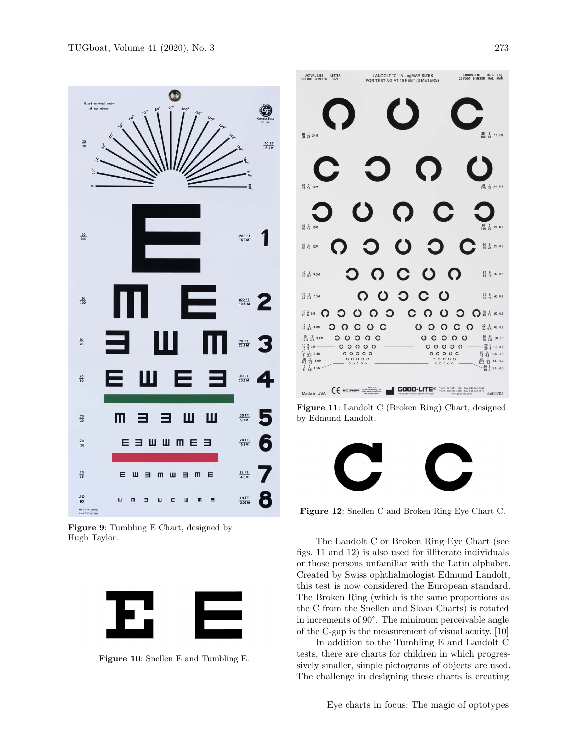

<span id="page-4-0"></span>Figure 9: Tumbling E Chart, designed by Hugh Taylor.



<span id="page-4-1"></span>



Figure 11: Landolt C (Broken Ring) Chart, designed by Edmund Landolt.

<span id="page-4-2"></span>

Figure 12: Snellen C and Broken Ring Eye Chart C.

<span id="page-4-3"></span>The Landolt C or Broken Ring Eye Chart (see figs. [11](#page-4-2) and [12\)](#page-4-3) is also used for illiterate individuals or those persons unfamiliar with the Latin alphabet. Created by Swiss ophthalmologist Edmund Landolt, this test is now considered the European standard. The Broken Ring (which is the same proportions as the C from the Snellen and Sloan Charts) is rotated in increments of 90°. The minimum perceivable angle of the C-gap is the measurement of visual acuity. [\[10\]](#page-5-12)

In addition to the Tumbling E and Landolt C tests, there are charts for children in which progressively smaller, simple pictograms of objects are used. The challenge in designing these charts is creating

Eye charts in focus: The magic of optotypes